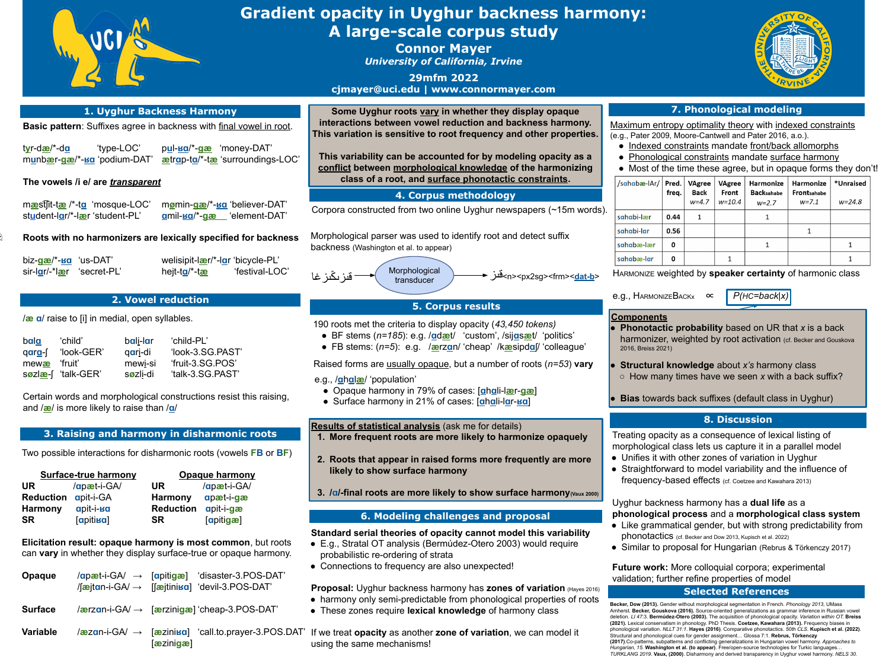HARMONIZE weighted by **speaker certainty** of harmonic class

e.g., HARMONIZEBACKx ∝ *P(HC=back|x)*

Uyghur backness harmony has a **dual life** as a **phonological process** and a **morphological class system** • Like grammatical gender, but with strong predictability from phonotactics (cf. Becker and Dow 2013, Kupisch et al. 2022) • Similar to proposal for Hungarian (Rebrus & Törkenczy 2017)

- 
- 

Treating opacity as a consequence of lexical listing of morphological class lets us capture it in a parallel model • Unifies it with other zones of variation in Uyghur ● Straightforward to model variability and the influence of frequency-based effects (cf. Coetzee and Kawahara 2013)

- 
- 

opacity (43,450 tokens) ● BF stems (*n=185*): e.g. /**ɑ**d**æ**t/ 'custom', /sij**ɑ**s**æ**t/ 'politics' ● FB stems: (*n=5*): e.g. /**æ**rz**ɑ**n/ 'cheap' /k**æ**sipd**ɑ**ʃ/ 'colleague'

It a number of roots (*n=53*) vary

# **Gradient opacity in Uyghur backness harmony: A large-scale corpus study Connor Mayer**

**Future work:** More colloquial corpora; experimental validation; further refine properties of model **Selected References**

*University of California, Irvine*

**29mfm 2022 cjmayer@uci.edu | www.connormayer.com**

#### **8. Discussion**

● Opaque harmony in 79% of cases: [**ɑ**h**ɑ**li-l**æ**r-**gæ**]  $\log$  ses: [ahali-lar-**ʁa**]

me for details) **likely to harmonize opaquely** 

**2. The more frequently are more in that the state forms more**  $\mathbf{r}$ 

**3. O show surface harmony** (Vaux 2000)

### **ges and proposal**

**Cannot model this variability** ez-Otero 2003) would require

unexpected!



| 1. Uyghur Backness Harmony                                                 |                                                                                  |                    |                                                                                                                                  | Some Uyghur roots vary in whe                                                                                                                                           |  |  |
|----------------------------------------------------------------------------|----------------------------------------------------------------------------------|--------------------|----------------------------------------------------------------------------------------------------------------------------------|-------------------------------------------------------------------------------------------------------------------------------------------------------------------------|--|--|
| <b>Basic pattern:</b> Suffixes agree in backness with final vowel in root. |                                                                                  |                    |                                                                                                                                  | interactions between vowel reduct                                                                                                                                       |  |  |
| t <u>y</u> r-d <u>æ</u> /*-d <u>a</u>                                      | 'type-LOC'<br>munbær-gæ/*-ka 'podium-DAT'                                        |                    | pul-ka/*-gæ 'money-DAT'<br>aetrap-ta/*-tae 'surroundings-LOC'                                                                    | This variation is sensitive to root fre<br>This variability can be accounted 1<br>conflict between morphological kn<br>class of a root, and surface p                   |  |  |
|                                                                            | The vowels /i e/ are transparent                                                 |                    |                                                                                                                                  |                                                                                                                                                                         |  |  |
|                                                                            | maeststit-tae /*-ta 'mosque-LOC'<br>student-lar/*-lær 'student-PL'               |                    | mømin-gæ/*-ka 'believer-DAT'<br>amil- <b>Ba/*-gæ</b> element-DAT'                                                                | 4. Corpus met<br>Corpora constructed from two online U                                                                                                                  |  |  |
|                                                                            |                                                                                  |                    | Roots with no harmonizers are lexically specified for backness                                                                   | Morphological parser was used to iden<br>backness (Washington et al. to appear)                                                                                         |  |  |
| biz- <u>qæ</u> /*- <u>ʁɑ</u> 'us-DAT'                                      | sir-lar/-*lær 'secret-PL'                                                        | hejt-to/*-tæ       | welisipit-leer/*-lar 'bicycle-PL'<br>'festival-LOC'                                                                              | Morphological<br>قىز ىڭىز غا<br>transducer                                                                                                                              |  |  |
|                                                                            |                                                                                  | 2. Vowel reduction |                                                                                                                                  | 5. Corpus r                                                                                                                                                             |  |  |
|                                                                            | /æ a/ raise to [i] in medial, open syllables.                                    |                    |                                                                                                                                  | 190 roots met the criteria to display op                                                                                                                                |  |  |
| bala<br>qara-f                                                             | 'child'<br>bali-lar<br>'look-GER'<br>qari-di                                     | 'child-PL'         | 'look-3.SG.PAST'                                                                                                                 | • BF stems $(n=185)$ : e.g. $/$ <b>adæt</b> / 'c<br>• FB stems: $(n=5)$ : e.g. $\sqrt{a}$ erzan/'c                                                                      |  |  |
| mewae                                                                      | mewi-si<br>'fruit'                                                               | 'fruit-3.SG.POS'   |                                                                                                                                  | Raised forms are usually opaque, but                                                                                                                                    |  |  |
| Søzlæ-f                                                                    | søzli-di<br>"talk-GER"                                                           |                    | 'talk-3.SG.PAST'                                                                                                                 | e.g., / <b>ghalæ</b> / 'population'                                                                                                                                     |  |  |
|                                                                            | and / <b>æ/</b> is more likely to raise than / <b>a/</b>                         |                    | Certain words and morphological constructions resist this raising,                                                               | • Opaque harmony in 79% of cases<br>• Surface harmony in 21% of cases                                                                                                   |  |  |
|                                                                            |                                                                                  |                    |                                                                                                                                  | <b>Results of statistical analysis (ask m</b>                                                                                                                           |  |  |
|                                                                            | 3. Raising and harmony in disharmonic roots                                      |                    |                                                                                                                                  | 1. More frequent roots are more lik                                                                                                                                     |  |  |
|                                                                            |                                                                                  |                    | Two possible interactions for disharmonic roots (vowels FB or BF)                                                                | 2. Roots that appear in raised forn<br>likely to show surface harmony                                                                                                   |  |  |
| UR                                                                         | <b>Surface-true harmony</b><br>/apæt-i-GA/                                       | <b>UR</b>          | Opaque harmony<br>/apæt-i-GA/                                                                                                    |                                                                                                                                                                         |  |  |
| <b>Reduction</b>                                                           | <b>apit-i-GA</b>                                                                 | <b>Harmony</b>     | apæt-i-gæ                                                                                                                        | 3. /a/-final roots are more likely to                                                                                                                                   |  |  |
| <b>Harmony</b>                                                             | apit-i- <b>Ba</b>                                                                | <b>Reduction</b>   | apit-i-gæ                                                                                                                        |                                                                                                                                                                         |  |  |
| SR                                                                         | <b>[apitika]</b>                                                                 | <b>SR</b>          | <b>Sapitigæl</b>                                                                                                                 | 6. Modeling challeng                                                                                                                                                    |  |  |
|                                                                            |                                                                                  |                    | Elicitation result: opaque harmony is most common, but roots<br>can vary in whether they display surface-true or opaque harmony. | <b>Standard serial theories of opacity of</b><br>• E.g., Stratal OT analysis (Bermúdez-<br>probabilistic re-ordering of strata<br>• Connections to frequency are also u |  |  |
| <b>Opaque</b>                                                              | $\sqrt{a}$ jtan-i-GA $\rightarrow$ [ $\alpha$ jtini $\alpha$ ] 'devil-3.POS-DAT' |                    | $\sqrt{apæt-i-GA}$ $\rightarrow$ [apitigæ] 'disaster-3.POS-DAT'                                                                  | <b>Proposal:</b> Uvghur backness harmony                                                                                                                                |  |  |

| bala   | 'child'            |
|--------|--------------------|
| qara-f | 'look-GER'         |
| mewae  | 'fruit'            |
|        | søzlæ-[ 'talk-GER' |

transducer قىز>n><px2sg><frm><**dat-b**<sup>&</sup>gt;

## results

**Phonotactic probability** based on UR that *x* is a back harmonizer, weighted by root activation (cf. Becker and Gouskova

**Structural knowledge** about *x's* harmony class ○ How many times have we seen *x* with a back suffix?

**Bias towards back suffixes (default class in Uyghur)** 

**Becker, Dow (2013).** Gender without morphological segmentation in French. *Phonology 2013*, UMass Amherst. **Becker, Gouskova (2016).** Source-oriented generalizations as grammar inference in Russian vowel deletion. *LI 47*:3. **Bermúdez-Otero (2003).** The acquisition of phonological opacity. *Variation within OT.* **Breiss (2021).** Lexical conservatism in phonology. PhD Thesis. **Coetzee, Kawahara (2013).** Frequency biases in phonological variation. *NLLT 31:1*. **Hayes (2016)**. Comparative phonotactics. *50th CLS.* **Kupisch et al. (2022)**. Structural and phonological cues for gender assignment… Glossa 7:1. **Rebrus, Törkenczy (2017)**.Co-patterns, subpatterns and conflicting generalizations in Hungarian vowel harmony. *Approaches to Hungarian, 15.* **Washington et al. (to appear)**. Free/open-source technologies for Turkic languages… *TURKLANG 2019*. **Vaux, (2000)**. Disharmony and derived transparency in Uyghur vowel harmony. *NELS 30*.



| 1. Uyghur Backness Harmony                                                                                                                                                                                                                                             | Some Uyghur roots vary in wh                                                                                                                                                                        |                                                                                                                                                                                                                                                                                                    |  |
|------------------------------------------------------------------------------------------------------------------------------------------------------------------------------------------------------------------------------------------------------------------------|-----------------------------------------------------------------------------------------------------------------------------------------------------------------------------------------------------|----------------------------------------------------------------------------------------------------------------------------------------------------------------------------------------------------------------------------------------------------------------------------------------------------|--|
| <b>Basic pattern:</b> Suffixes agree in backness with final vowel in root.                                                                                                                                                                                             | interactions between vowel redu<br>This variation is sensitive to root f                                                                                                                            |                                                                                                                                                                                                                                                                                                    |  |
| tyr-dæ/*-da<br>'type-LOC'<br>munbær-gæ/*-sa 'podium-DAT'                                                                                                                                                                                                               | pul-ka/*-gæ 'money-DAT'<br>ætrap-ta/*-tæ 'surroundings-LOC'                                                                                                                                         | This variability can be accounted<br>conflict between morphological k                                                                                                                                                                                                                              |  |
| The vowels /i e/ are transparent                                                                                                                                                                                                                                       |                                                                                                                                                                                                     | class of a root, and surface                                                                                                                                                                                                                                                                       |  |
| mæstsit-tæ/*-ta 'mosque-LOC'<br>student-lar/*-lær 'student-PL'                                                                                                                                                                                                         | mømin-gæ/*-ka 'believer-DAT'<br>amil- <b>ka/*-gæ</b> 'element-DAT'                                                                                                                                  | 4. Corpus me<br>Corpora constructed from two online                                                                                                                                                                                                                                                |  |
|                                                                                                                                                                                                                                                                        | Roots with no harmonizers are lexically specified for backness                                                                                                                                      | Morphological parser was used to ide<br>backness (Washington et al. to appear)                                                                                                                                                                                                                     |  |
| biz- <u>qæ</u> /*- <u>ʁa</u><br>'us-DAT'<br>sir-lar/-*lær<br>'secret-PL'                                                                                                                                                                                               | welisipit-lær/*-lar 'bicycle-PL'<br>'festival-LOC'<br>hejt-ta/*-tæ                                                                                                                                  | Morphological<br>قىز ىڭىز غا<br>transducer                                                                                                                                                                                                                                                         |  |
|                                                                                                                                                                                                                                                                        | 2. Vowel reduction                                                                                                                                                                                  | <b>5. Corpus</b>                                                                                                                                                                                                                                                                                   |  |
| <i>la</i> a/ raise to [i] in medial, open syllables.<br>bala<br>'child'<br>bali-lar<br>'look-GER'<br>gari-di<br>qara-f<br>mewi-si<br>'fruit'<br>mewae<br>'talk-GER'<br>søzli-di<br>søzlæ-f<br>and $\sqrt{\mathbf{a}}$ is more likely to raise than $\sqrt{\mathbf{a}}$ | 'child-PL'<br>'look-3.SG.PAST'<br>'fruit-3.SG.POS'<br>'talk-3.SG.PAST'<br>Certain words and morphological constructions resist this raising,                                                        | 190 roots met the criteria to display of<br>• BF stems $(n=185)$ : e.g. $\sqrt{q}$ dæt/<br>• FB stems: $(n=5)$ : e.g. $\sqrt{\text{arctan}}$<br>Raised forms are usually opaque, but<br>e.g., / <b>ghalae</b> / 'population'<br>• Opaque harmony in 79% of cas<br>• Surface harmony in 21% of case |  |
|                                                                                                                                                                                                                                                                        | 3. Raising and harmony in disharmonic roots                                                                                                                                                         | <b>Results of statistical analysis (ask)</b><br>1. More frequent roots are more I                                                                                                                                                                                                                  |  |
| <b>Surface-true harmony</b><br><b>UR</b><br>/apæt-i-GA/<br><b>Reduction</b><br><b>apit-i-GA</b>                                                                                                                                                                        | Two possible interactions for disharmonic roots (vowels FB or BF)<br><b>Opaque harmony</b><br>/apæt-i-GA/<br><b>UR</b><br>apæt-i-gæ<br><b>Harmony</b>                                               | 2. Roots that appear in raised for<br>likely to show surface harmon<br>3. /a/-final roots are more likely to                                                                                                                                                                                       |  |
| <b>Harmony</b><br>apit-i- <b>Ba</b><br><b>SR</b><br><b>[apitika]</b>                                                                                                                                                                                                   | <b>Reduction</b><br>apit-i-gæ<br><b>Tapitigæl</b><br><b>SR</b>                                                                                                                                      | <b>6. Modeling challen</b>                                                                                                                                                                                                                                                                         |  |
| <b>Opaque</b>                                                                                                                                                                                                                                                          | Elicitation result: opaque harmony is most common, but roots<br>can vary in whether they display surface-true or opaque harmony.<br>$\sqrt{apæt-i-GA}$ $\rightarrow$ [apitigæ] 'disaster-3.POS-DAT' | <b>Standard serial theories of opacity</b><br>• E.g., Stratal OT analysis (Bermúde<br>probabilistic re-ordering of strata<br>• Connections to frequency are also                                                                                                                                   |  |
|                                                                                                                                                                                                                                                                        |                                                                                                                                                                                                     |                                                                                                                                                                                                                                                                                                    |  |

| <b>Opaque</b>   | $\sqrt{apæt-i-GA} \rightarrow$<br>/ <b>fæjtan-i-GA/</b> $\rightarrow$ | <b>Sapitigæ</b><br>'disaster-3.POS-DAT'<br>[aejtinisa] 'devil-3.POS-DAT' | <b>Proposal:</b> Uyghur backness harmony has zones of variation (Haye                                                         |
|-----------------|-----------------------------------------------------------------------|--------------------------------------------------------------------------|-------------------------------------------------------------------------------------------------------------------------------|
| <b>Surface</b>  |                                                                       | $/$ ærzan-i-GA $/ \rightarrow$ [ærzinigæ] 'cheap-3.POS-DAT'              | • harmony only semi-predictable from phonological properties of r<br>• These zones require lexical knowledge of harmony class |
| <b>Variable</b> | $/$ æzan-i-GA $/ \rightarrow$                                         | <b>Faezinisa</b><br>'call.to.prayer-3.POS.DAT'<br>[æzinigæ]              | If we treat opacity as another zone of variation, we can model it<br>using the same mechanisms!                               |

**Proposal:** Uyghur backness harmony has **zones of variation** (Hayes 2016) ● harmony only semi-predictable from phonological properties of roots ● These zones require **lexical knowledge** of harmony class

Maximum entropy optimality theory with indexed constraints (e.g., Pater 2009, Moore-Cantwell and Pater 2016, a.o.). • Indexed constraints mandate front/back allomorphs

- 
- 
- 

| /sahabæ-lAr/   Pred. | freq. | <b>VAgree</b><br><b>Back</b><br>$W = 4.7$ | <b>VAgree</b><br>Front<br>$W = 10.4$ | <b>Harmonize</b><br><b>Backsahabe</b><br>$W = 2.7$ | <b>Harmonize</b><br>Frontsahabe<br>$w=7.1$ | *Unraised<br>$W = 24.8$ |
|----------------------|-------|-------------------------------------------|--------------------------------------|----------------------------------------------------|--------------------------------------------|-------------------------|
| sahabi-lær           | 0.44  | 1                                         |                                      |                                                    |                                            |                         |
| sahabi-lar           | 0.56  |                                           |                                      |                                                    |                                            |                         |
| sahabæ-lær           | 0     |                                           |                                      | 1                                                  |                                            |                         |
| sahabæ-lar           | 0     |                                           |                                      |                                                    |                                            |                         |

using the same mechanisms!

**hether they display opaque interal direction and backness harmony. Frequency and other properties.** 

**This variability as a discript opacity as a knowledge of the harmonizing** phonotactic constraints.

### **2thodology**

Uyghur newspapers (~15m words).

entify root and detect suffix

### **7. Phonological modeling**

• Phonological constraints mandate surface harmony

• Most of the time these agree, but in opaque forms they don't!

### **Components**

- 2016, Breiss 2021)
- 
-